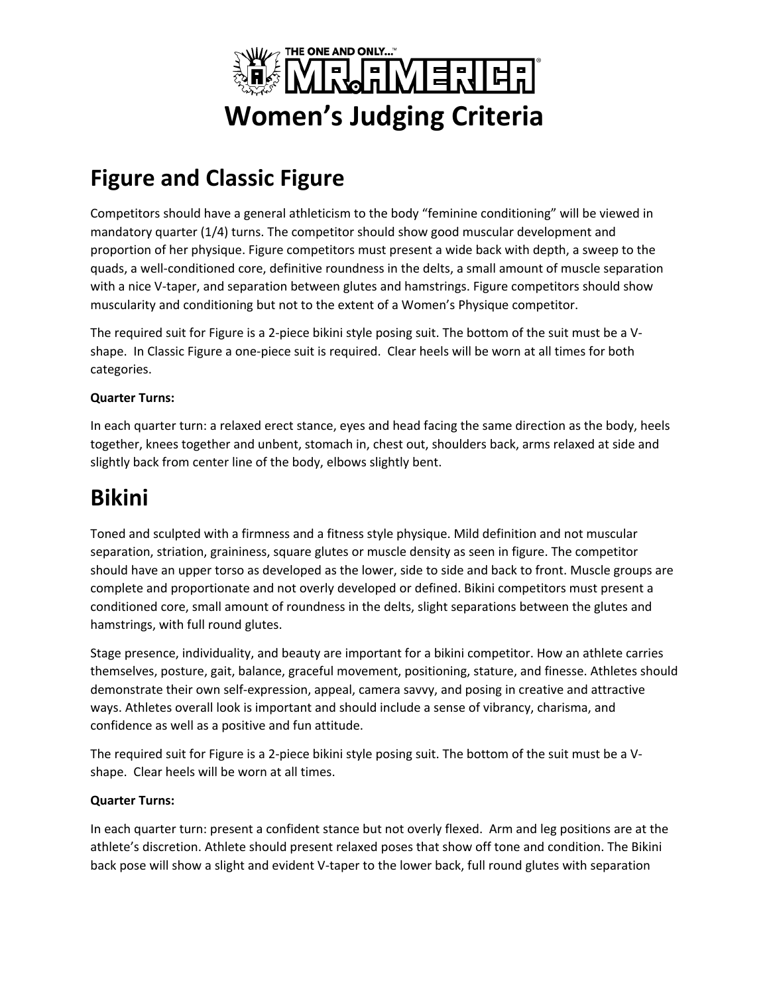

## **Figure and Classic Figure**

Competitors should have a general athleticism to the body "feminine conditioning" will be viewed in mandatory quarter (1/4) turns. The competitor should show good muscular development and proportion of her physique. Figure competitors must present a wide back with depth, a sweep to the quads, a well-conditioned core, definitive roundness in the delts, a small amount of muscle separation with a nice V-taper, and separation between glutes and hamstrings. Figure competitors should show muscularity and conditioning but not to the extent of a Women's Physique competitor.

The required suit for Figure is a 2-piece bikini style posing suit. The bottom of the suit must be a Vshape. In Classic Figure a one-piece suit is required. Clear heels will be worn at all times for both categories.

#### **Quarter Turns:**

In each quarter turn: a relaxed erect stance, eyes and head facing the same direction as the body, heels together, knees together and unbent, stomach in, chest out, shoulders back, arms relaxed at side and slightly back from center line of the body, elbows slightly bent.

### **Bikini**

Toned and sculpted with a firmness and a fitness style physique. Mild definition and not muscular separation, striation, graininess, square glutes or muscle density as seen in figure. The competitor should have an upper torso as developed as the lower, side to side and back to front. Muscle groups are complete and proportionate and not overly developed or defined. Bikini competitors must present a conditioned core, small amount of roundness in the delts, slight separations between the glutes and hamstrings, with full round glutes.

Stage presence, individuality, and beauty are important for a bikini competitor. How an athlete carries themselves, posture, gait, balance, graceful movement, positioning, stature, and finesse. Athletes should demonstrate their own self-expression, appeal, camera savvy, and posing in creative and attractive ways. Athletes overall look is important and should include a sense of vibrancy, charisma, and confidence as well as a positive and fun attitude.

The required suit for Figure is a 2-piece bikini style posing suit. The bottom of the suit must be a Vshape. Clear heels will be worn at all times.

#### **Quarter Turns:**

In each quarter turn: present a confident stance but not overly flexed. Arm and leg positions are at the athlete's discretion. Athlete should present relaxed poses that show off tone and condition. The Bikini back pose will show a slight and evident V-taper to the lower back, full round glutes with separation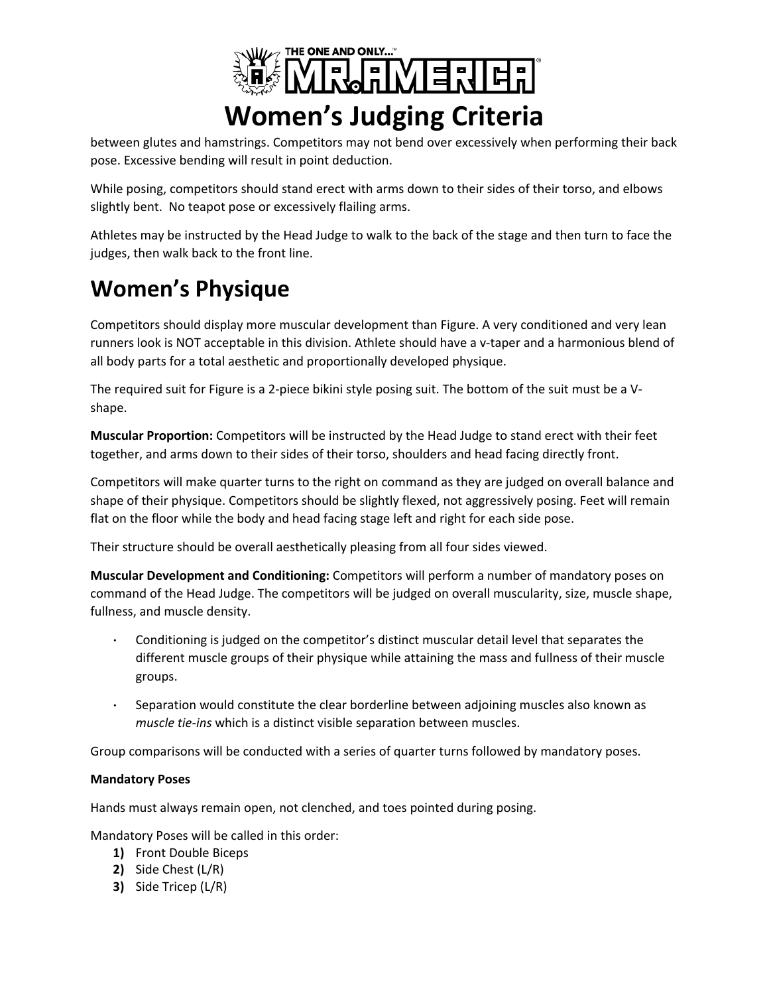

between glutes and hamstrings. Competitors may not bend over excessively when performing their back pose. Excessive bending will result in point deduction.

While posing, competitors should stand erect with arms down to their sides of their torso, and elbows slightly bent. No teapot pose or excessively flailing arms.

Athletes may be instructed by the Head Judge to walk to the back of the stage and then turn to face the judges, then walk back to the front line.

# **Women's Physique**

Competitors should display more muscular development than Figure. A very conditioned and very lean runners look is NOT acceptable in this division. Athlete should have a v-taper and a harmonious blend of all body parts for a total aesthetic and proportionally developed physique.

The required suit for Figure is a 2-piece bikini style posing suit. The bottom of the suit must be a Vshape.

**Muscular Proportion:** Competitors will be instructed by the Head Judge to stand erect with their feet together, and arms down to their sides of their torso, shoulders and head facing directly front.

Competitors will make quarter turns to the right on command as they are judged on overall balance and shape of their physique. Competitors should be slightly flexed, not aggressively posing. Feet will remain flat on the floor while the body and head facing stage left and right for each side pose.

Their structure should be overall aesthetically pleasing from all four sides viewed.

**Muscular Development and Conditioning:** Competitors will perform a number of mandatory poses on command of the Head Judge. The competitors will be judged on overall muscularity, size, muscle shape, fullness, and muscle density.

- Conditioning is judged on the competitor's distinct muscular detail level that separates the different muscle groups of their physique while attaining the mass and fullness of their muscle groups.
- Separation would constitute the clear borderline between adjoining muscles also known as *muscle tie-ins* which is a distinct visible separation between muscles.

Group comparisons will be conducted with a series of quarter turns followed by mandatory poses.

#### **Mandatory Poses**

Hands must always remain open, not clenched, and toes pointed during posing.

Mandatory Poses will be called in this order:

- **1)** Front Double Biceps
- **2)** Side Chest (L/R)
- **3)** Side Tricep (L/R)